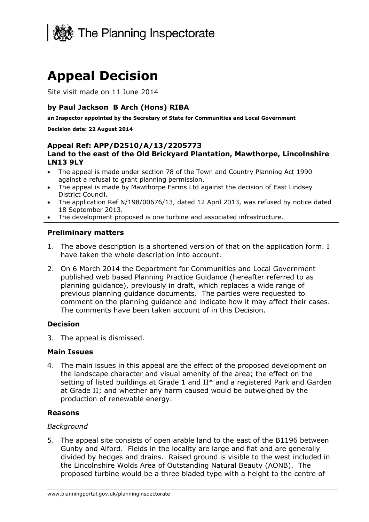

# **Appeal Decision**

Site visit made on 11 June 2014

## **by Paul Jackson B Arch (Hons) RIBA**

**an Inspector appointed by the Secretary of State for Communities and Local Government** 

#### **Decision date: 22 August 2014**

#### **Appeal Ref: APP/D2510/A/13/2205773 Land to the east of the Old Brickyard Plantation, Mawthorpe, Lincolnshire LN13 9LY**

- The appeal is made under section 78 of the Town and Country Planning Act 1990 against a refusal to grant planning permission.
- The appeal is made by Mawthorpe Farms Ltd against the decision of East Lindsey District Council.
- The application Ref N/198/00676/13, dated 12 April 2013, was refused by notice dated 18 September 2013.
- The development proposed is one turbine and associated infrastructure.

#### **Preliminary matters**

- 1. The above description is a shortened version of that on the application form. I have taken the whole description into account.
- 2. On 6 March 2014 the Department for Communities and Local Government published web based Planning Practice Guidance (hereafter referred to as planning guidance), previously in draft, which replaces a wide range of previous planning guidance documents. The parties were requested to comment on the planning guidance and indicate how it may affect their cases. The comments have been taken account of in this Decision.

#### **Decision**

3. The appeal is dismissed.

#### **Main Issues**

4. The main issues in this appeal are the effect of the proposed development on the landscape character and visual amenity of the area; the effect on the setting of listed buildings at Grade 1 and II\* and a registered Park and Garden at Grade II; and whether any harm caused would be outweighed by the production of renewable energy.

### **Reasons**

#### *Background*

5. The appeal site consists of open arable land to the east of the B1196 between Gunby and Alford. Fields in the locality are large and flat and are generally divided by hedges and drains. Raised ground is visible to the west included in the Lincolnshire Wolds Area of Outstanding Natural Beauty (AONB). The proposed turbine would be a three bladed type with a height to the centre of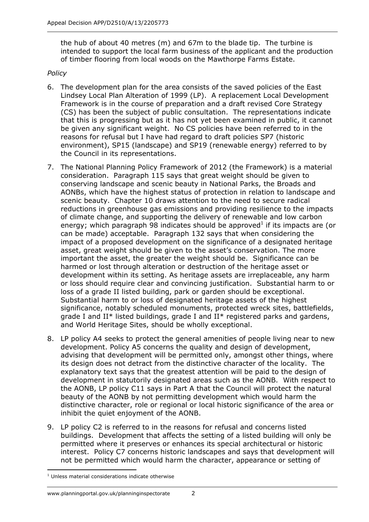the hub of about 40 metres (m) and 67m to the blade tip. The turbine is intended to support the local farm business of the applicant and the production of timber flooring from local woods on the Mawthorpe Farms Estate.

## *Policy*

- 6. The development plan for the area consists of the saved policies of the East Lindsey Local Plan Alteration of 1999 (LP). A replacement Local Development Framework is in the course of preparation and a draft revised Core Strategy (CS) has been the subject of public consultation. The representations indicate that this is progressing but as it has not yet been examined in public, it cannot be given any significant weight. No CS policies have been referred to in the reasons for refusal but I have had regard to draft policies SP7 (historic environment), SP15 (landscape) and SP19 (renewable energy) referred to by the Council in its representations.
- 7. The National Planning Policy Framework of 2012 (the Framework) is a material consideration. Paragraph 115 says that great weight should be given to conserving landscape and scenic beauty in National Parks, the Broads and AONBs, which have the highest status of protection in relation to landscape and scenic beauty. Chapter 10 draws attention to the need to secure radical reductions in greenhouse gas emissions and providing resilience to the impacts of climate change, and supporting the delivery of renewable and low carbon energy; which paragraph 98 indicates should be approved<sup>1</sup> if its impacts are (or can be made) acceptable. Paragraph 132 says that when considering the impact of a proposed development on the significance of a designated heritage asset, great weight should be given to the asset's conservation. The more important the asset, the greater the weight should be. Significance can be harmed or lost through alteration or destruction of the heritage asset or development within its setting. As heritage assets are irreplaceable, any harm or loss should require clear and convincing justification. Substantial harm to or loss of a grade II listed building, park or garden should be exceptional. Substantial harm to or loss of designated heritage assets of the highest significance, notably scheduled monuments, protected wreck sites, battlefields, grade I and  $II^*$  listed buildings, grade I and  $II^*$  registered parks and gardens, and World Heritage Sites, should be wholly exceptional.
- 8. LP policy A4 seeks to protect the general amenities of people living near to new development. Policy A5 concerns the quality and design of development, advising that development will be permitted only, amongst other things, where its design does not detract from the distinctive character of the locality. The explanatory text says that the greatest attention will be paid to the design of development in statutorily designated areas such as the AONB. With respect to the AONB, LP policy C11 says in Part A that the Council will protect the natural beauty of the AONB by not permitting development which would harm the distinctive character, role or regional or local historic significance of the area or inhibit the quiet enjoyment of the AONB.
- 9. LP policy C2 is referred to in the reasons for refusal and concerns listed buildings. Development that affects the setting of a listed building will only be permitted where it preserves or enhances its special architectural or historic interest. Policy C7 concerns historic landscapes and says that development will not be permitted which would harm the character, appearance or setting of

<sup>1</sup> <sup>1</sup> Unless material considerations indicate otherwise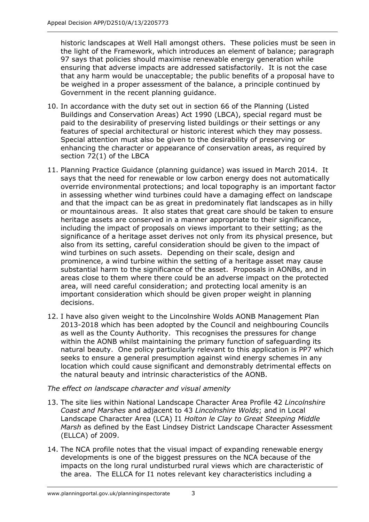historic landscapes at Well Hall amongst others. These policies must be seen in the light of the Framework, which introduces an element of balance; paragraph 97 says that policies should maximise renewable energy generation while ensuring that adverse impacts are addressed satisfactorily. It is not the case that any harm would be unacceptable; the public benefits of a proposal have to be weighed in a proper assessment of the balance, a principle continued by Government in the recent planning guidance.

- 10. In accordance with the duty set out in section 66 of the Planning (Listed Buildings and Conservation Areas) Act 1990 (LBCA), special regard must be paid to the desirability of preserving listed buildings or their settings or any features of special architectural or historic interest which they may possess. Special attention must also be given to the desirability of preserving or enhancing the character or appearance of conservation areas, as required by section 72(1) of the LBCA
- 11. Planning Practice Guidance (planning guidance) was issued in March 2014. It says that the need for renewable or low carbon energy does not automatically override environmental protections; and local topography is an important factor in assessing whether wind turbines could have a damaging effect on landscape and that the impact can be as great in predominately flat landscapes as in hilly or mountainous areas. It also states that great care should be taken to ensure heritage assets are conserved in a manner appropriate to their significance, including the impact of proposals on views important to their setting; as the significance of a heritage asset derives not only from its physical presence, but also from its setting, careful consideration should be given to the impact of wind turbines on such assets. Depending on their scale, design and prominence, a wind turbine within the setting of a heritage asset may cause substantial harm to the significance of the asset. Proposals in AONBs, and in areas close to them where there could be an adverse impact on the protected area, will need careful consideration; and protecting local amenity is an important consideration which should be given proper weight in planning decisions.
- 12. I have also given weight to the Lincolnshire Wolds AONB Management Plan 2013-2018 which has been adopted by the Council and neighbouring Councils as well as the County Authority. This recognises the pressures for change within the AONB whilst maintaining the primary function of safeguarding its natural beauty. One policy particularly relevant to this application is PP7 which seeks to ensure a general presumption against wind energy schemes in any location which could cause significant and demonstrably detrimental effects on the natural beauty and intrinsic characteristics of the AONB.

# *The effect on landscape character and visual amenity*

- 13. The site lies within National Landscape Character Area Profile 42 *Lincolnshire Coast and Marshes* and adjacent to 43 *Lincolnshire Wolds*; and in Local Landscape Character Area (LCA) I1 *Holton le Clay to Great Steeping Middle Marsh* as defined by the East Lindsey District Landscape Character Assessment (ELLCA) of 2009.
- 14. The NCA profile notes that the visual impact of expanding renewable energy developments is one of the biggest pressures on the NCA because of the impacts on the long rural undisturbed rural views which are characteristic of the area. The ELLCA for I1 notes relevant key characteristics including a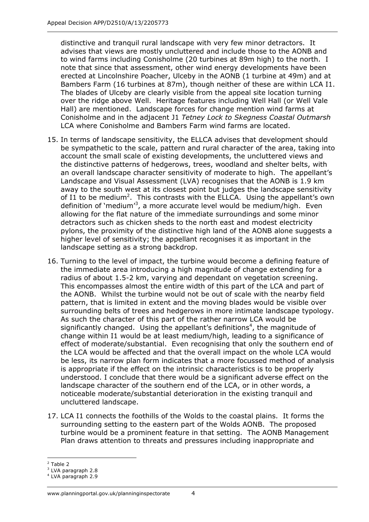distinctive and tranquil rural landscape with very few minor detractors. It advises that views are mostly uncluttered and include those to the AONB and to wind farms including Conisholme (20 turbines at 89m high) to the north. I note that since that assessment, other wind energy developments have been erected at Lincolnshire Poacher, Ulceby in the AONB (1 turbine at 49m) and at Bambers Farm (16 turbines at 87m), though neither of these are within LCA I1. The blades of Ulceby are clearly visible from the appeal site location turning over the ridge above Well. Heritage features including Well Hall (or Well Vale Hall) are mentioned. Landscape forces for change mention wind farms at Conisholme and in the adjacent J1 *Tetney Lock to Skegness Coastal Outmarsh* LCA where Conisholme and Bambers Farm wind farms are located.

- 15. In terms of landscape sensitivity, the ELLCA advises that development should be sympathetic to the scale, pattern and rural character of the area, taking into account the small scale of existing developments, the uncluttered views and the distinctive patterns of hedgerows, trees, woodland and shelter belts, with an overall landscape character sensitivity of moderate to high. The appellant's Landscape and Visual Assessment (LVA) recognises that the AONB is 1.9 km away to the south west at its closest point but judges the landscape sensitivity of I1 to be medium<sup>2</sup>. This contrasts with the ELLCA. Using the appellant's own definition of 'medium'<sup>3</sup>, a more accurate level would be medium/high. Even allowing for the flat nature of the immediate surroundings and some minor detractors such as chicken sheds to the north east and modest electricity pylons, the proximity of the distinctive high land of the AONB alone suggests a higher level of sensitivity; the appellant recognises it as important in the landscape setting as a strong backdrop.
- 16. Turning to the level of impact, the turbine would become a defining feature of the immediate area introducing a high magnitude of change extending for a radius of about 1.5-2 km, varying and dependant on vegetation screening. This encompasses almost the entire width of this part of the LCA and part of the AONB. Whilst the turbine would not be out of scale with the nearby field pattern, that is limited in extent and the moving blades would be visible over surrounding belts of trees and hedgerows in more intimate landscape typology. As such the character of this part of the rather narrow LCA would be significantly changed. Using the appellant's definitions<sup>4</sup>, the magnitude of change within I1 would be at least medium/high, leading to a significance of effect of moderate/substantial. Even recognising that only the southern end of the LCA would be affected and that the overall impact on the whole LCA would be less, its narrow plan form indicates that a more focussed method of analysis is appropriate if the effect on the intrinsic characteristics is to be properly understood. I conclude that there would be a significant adverse effect on the landscape character of the southern end of the LCA, or in other words, a noticeable moderate/substantial deterioration in the existing tranquil and uncluttered landscape.
- 17. LCA I1 connects the foothills of the Wolds to the coastal plains. It forms the surrounding setting to the eastern part of the Wolds AONB. The proposed turbine would be a prominent feature in that setting. The AONB Management Plan draws attention to threats and pressures including inappropriate and

<sup>-</sup>2 Table 2

<sup>3</sup> LVA paragraph 2.8

<sup>4</sup> LVA paragraph 2.9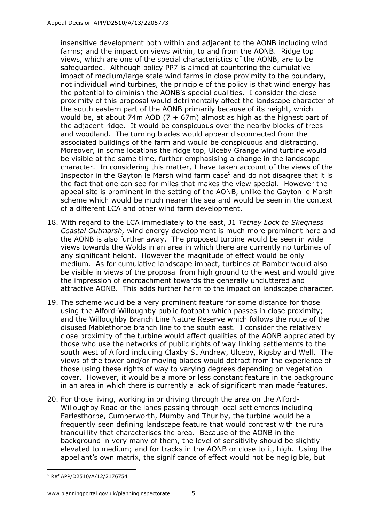insensitive development both within and adjacent to the AONB including wind farms; and the impact on views within, to and from the AONB. Ridge top views, which are one of the special characteristics of the AONB, are to be safeguarded. Although policy PP7 is aimed at countering the cumulative impact of medium/large scale wind farms in close proximity to the boundary, not individual wind turbines, the principle of the policy is that wind energy has the potential to diminish the AONB's special qualities. I consider the close proximity of this proposal would detrimentally affect the landscape character of the south eastern part of the AONB primarily because of its height, which would be, at about 74m AOD (7 + 67m) almost as high as the highest part of the adjacent ridge. It would be conspicuous over the nearby blocks of trees and woodland. The turning blades would appear disconnected from the associated buildings of the farm and would be conspicuous and distracting. Moreover, in some locations the ridge top, Ulceby Grange wind turbine would be visible at the same time, further emphasising a change in the landscape character. In considering this matter, I have taken account of the views of the Inspector in the Gayton le Marsh wind farm case<sup>5</sup> and do not disagree that it is the fact that one can see for miles that makes the view special. However the appeal site is prominent in the setting of the AONB, unlike the Gayton le Marsh scheme which would be much nearer the sea and would be seen in the context of a different LCA and other wind farm development.

- 18. With regard to the LCA immediately to the east, J1 *Tetney Lock to Skegness Coastal Outmarsh,* wind energy development is much more prominent here and the AONB is also further away. The proposed turbine would be seen in wide views towards the Wolds in an area in which there are currently no turbines of any significant height. However the magnitude of effect would be only medium. As for cumulative landscape impact, turbines at Bamber would also be visible in views of the proposal from high ground to the west and would give the impression of encroachment towards the generally uncluttered and attractive AONB. This adds further harm to the impact on landscape character.
- 19. The scheme would be a very prominent feature for some distance for those using the Alford-Willoughby public footpath which passes in close proximity; and the Willoughby Branch Line Nature Reserve which follows the route of the disused Mablethorpe branch line to the south east. I consider the relatively close proximity of the turbine would affect qualities of the AONB appreciated by those who use the networks of public rights of way linking settlements to the south west of Alford including Claxby St Andrew, Ulceby, Rigsby and Well. The views of the tower and/or moving blades would detract from the experience of those using these rights of way to varying degrees depending on vegetation cover. However, it would be a more or less constant feature in the background in an area in which there is currently a lack of significant man made features.
- 20. For those living, working in or driving through the area on the Alford-Willoughby Road or the lanes passing through local settlements including Farlesthorpe, Cumberworth, Mumby and Thurlby, the turbine would be a frequently seen defining landscape feature that would contrast with the rural tranquillity that characterises the area. Because of the AONB in the background in very many of them, the level of sensitivity should be slightly elevated to medium; and for tracks in the AONB or close to it, high. Using the appellant's own matrix, the significance of effect would not be negligible, but

<sup>1</sup> 5 Ref APP/D2510/A/12/2176754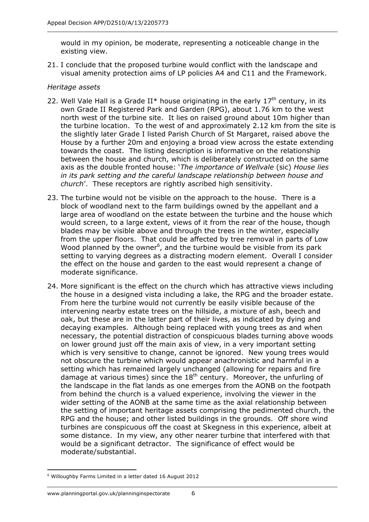would in my opinion, be moderate, representing a noticeable change in the existing view.

21. I conclude that the proposed turbine would conflict with the landscape and visual amenity protection aims of LP policies A4 and C11 and the Framework.

### *Heritage assets*

- 22. Well Vale Hall is a Grade II\* house originating in the early  $17<sup>th</sup>$  century, in its own Grade II Registered Park and Garden (RPG), about 1.76 km to the west north west of the turbine site. It lies on raised ground about 10m higher than the turbine location. To the west of and approximately 2.12 km from the site is the slightly later Grade I listed Parish Church of St Margaret, raised above the House by a further 20m and enjoying a broad view across the estate extending towards the coast. The listing description is informative on the relationship between the house and church, which is deliberately constructed on the same axis as the double fronted house: '*The importance of Wellvale* (sic) *House lies in its park setting and the careful landscape relationship between house and church*'. These receptors are rightly ascribed high sensitivity.
- 23. The turbine would not be visible on the approach to the house. There is a block of woodland next to the farm buildings owned by the appellant and a large area of woodland on the estate between the turbine and the house which would screen, to a large extent, views of it from the rear of the house, though blades may be visible above and through the trees in the winter, especially from the upper floors. That could be affected by tree removal in parts of Low Wood planned by the owner<sup>6</sup>, and the turbine would be visible from its park setting to varying degrees as a distracting modern element. Overall I consider the effect on the house and garden to the east would represent a change of moderate significance.
- 24. More significant is the effect on the church which has attractive views including the house in a designed vista including a lake, the RPG and the broader estate. From here the turbine would not currently be easily visible because of the intervening nearby estate trees on the hillside, a mixture of ash, beech and oak, but these are in the latter part of their lives, as indicated by dying and decaying examples. Although being replaced with young trees as and when necessary, the potential distraction of conspicuous blades turning above woods on lower ground just off the main axis of view, in a very important setting which is very sensitive to change, cannot be ignored. New young trees would not obscure the turbine which would appear anachronistic and harmful in a setting which has remained largely unchanged (allowing for repairs and fire damage at various times) since the  $18<sup>th</sup>$  century. Moreover, the unfurling of the landscape in the flat lands as one emerges from the AONB on the footpath from behind the church is a valued experience, involving the viewer in the wider setting of the AONB at the same time as the axial relationship between the setting of important heritage assets comprising the pedimented church, the RPG and the house; and other listed buildings in the grounds. Off shore wind turbines are conspicuous off the coast at Skegness in this experience, albeit at some distance. In my view, any other nearer turbine that interfered with that would be a significant detractor. The significance of effect would be moderate/substantial.

<sup>1</sup> 6 Willoughby Farms Limited in a letter dated 16 August 2012